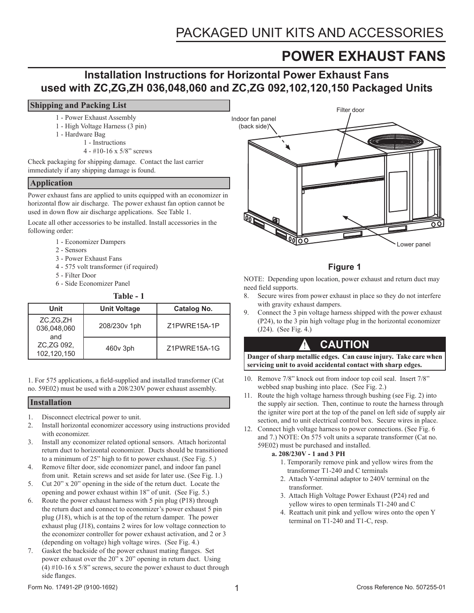# **POWER EXHAUST FANS**

## **Installation Instructions for Horizontal Power Exhaust Fans used with ZC,ZG,ZH 036,048,060 and ZC,ZG 092,102,120,150 Packaged Units**

#### **Shipping and Packing List**

- 1 Power Exhaust Assembly
- 1 High Voltage Harness (3 pin)
- 1 Hardware Bag
	- 1 Instructions
	- 4 #10-16 x 5/8" screws

Check packaging for shipping damage. Contact the last carrier immediately if any shipping damage is found.

#### **Application**

Power exhaust fans are applied to units equipped with an economizer in horizontal flow air discharge. The power exhaust fan option cannot be used in down flow air discharge applications. See Table 1.

Locate all other accessories to be installed. Install accessories in the following order:

- 1 Economizer Dampers
- 2 Sensors
- 3 Power Exhaust Fans
- 4 575 volt transformer (if required)
- 5 Filter Door
- 6 Side Economizer Panel

**Table - 1**

| Unit                                                        | <b>Unit Voltage</b> | Catalog No.  |
|-------------------------------------------------------------|---------------------|--------------|
| ZC,ZG,ZH<br>036,048,060<br>and<br>ZC.ZG 092.<br>102,120,150 | 208/230v 1ph        | Z1PWRE15A-1P |
|                                                             | 460y 3ph            | 71PWRF15A-1G |

1. For 575 applications, a field-supplied and installed transformer (Cat no. 59E02) must be used with a 208/230V power exhaust assembly.

#### **Installation**

- 1. Disconnect electrical power to unit.
- 2. Install horizontal economizer accessory using instructions provided with economizer.
- 3. Install any economizer related optional sensors. Attach horizontal return duct to horizontal economizer. Ducts should be transitioned to a minimum of 25" high to fit to power exhaust. (See Fig. 5.)
- 4. Remove filter door, side economizer panel, and indoor fan panel from unit. Retain screws and set aside for later use. (See Fig. 1.)
- 5. Cut 20" x 20" opening in the side of the return duct. Locate the opening and power exhaust within 18" of unit. (See Fig. 5.)
- 6. Route the power exhaust harness with 5 pin plug (P18) through the return duct and connect to economizer's power exhaust 5 pin plug (J18), which is at the top of the return damper. The power exhaust plug (J18), contains 2 wires for low voltage connection to the economizer controller for power exhaust activation, and 2 or 3 (depending on voltage) high voltage wires. (See Fig. 4.)
- 7. Gasket the backside of the power exhaust mating flanges. Set power exhaust over the 20" x 20" opening in return duct. Using (4) #10-16 x 5/8" screws, secure the power exhaust to duct through side flanges.



### **Figure 1**

NOTE: Depending upon location, power exhaust and return duct may need field supports.

- 8. Secure wires from power exhaust in place so they do not interfere with gravity exhaust dampers.
- Connect the 3 pin voltage harness shipped with the power exhaust (P24), to the 3 pin high voltage plug in the horizontal economizer (J24). (See Fig. 4.)

### **CAUTION**

**Danger of sharp metallic edges. Can cause injury. Take care when servicing unit to avoid accidental contact with sharp edges.**

- 10. Remove 7/8" knock out from indoor top coil seal. Insert 7/8" webbed snap bushing into place. (See Fig. 2.)
- 11. Route the high voltage harness through bushing (see Fig. 2) into the supply air section. Then, continue to route the harness through the igniter wire port at the top of the panel on left side of supply air section, and to unit electrical control box. Secure wires in place.
- 12. Connect high voltage harness to power connections. (See Fig. 6 and 7.) NOTE: On 575 volt units a separate transformer (Cat no. 59E02) must be purchased and installed.
	- **a. 208/230V 1 and 3 PH**

!

- 1. Temporarily remove pink and yellow wires from the transformer T1-240 and C terminals
- 2. Attach Y-terminal adaptor to 240V terminal on the transformer.
- 3. Attach High Voltage Power Exhaust (P24) red and yellow wires to open terminals T1-240 and C
- 4. Reattach unit pink and yellow wires onto the open Y terminal on T1-240 and T1-C, resp.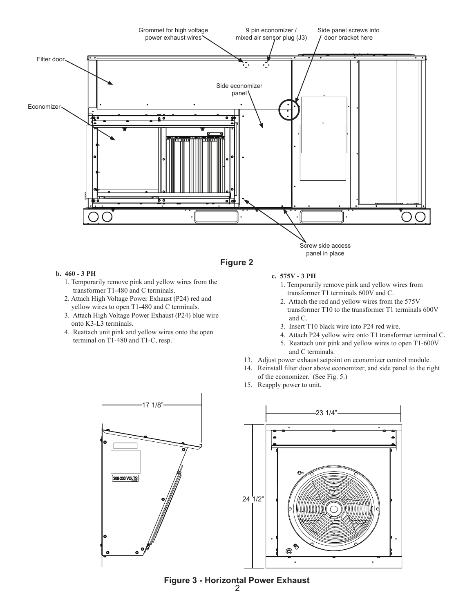

#### **b. 460 - 3 PH**

- 1. Temporarily remove pink and yellow wires from the transformer T1-480 and C terminals.
- 2. Attach High Voltage Power Exhaust (P24) red and yellow wires to open T1-480 and C terminals.
- 3. Attach High Voltage Power Exhaust (P24) blue wire onto K3-L3 terminals.
- 4. Reattach unit pink and yellow wires onto the open terminal on T1-480 and T1-C, resp.

#### **c. 575V - 3 PH**

- 1. Temporarily remove pink and yellow wires from transformer T1 terminals 600V and C.
- 2. Attach the red and yellow wires from the 575V transformer T10 to the transformer T1 terminals 600V and C.
- 3. Insert T10 black wire into P24 red wire.
- 4. Attach P24 yellow wire onto T1 transformer terminal C.
- 5. Reattach unit pink and yellow wires to open T1-600V and C terminals.
- 13. Adjust power exhaust setpoint on economizer control module.
- 14. Reinstall filter door above economizer, and side panel to the right of the economizer. (See Fig. 5.)
- 15. Reapply power to unit.





**Figure 3 - Horizontal Power Exhaust**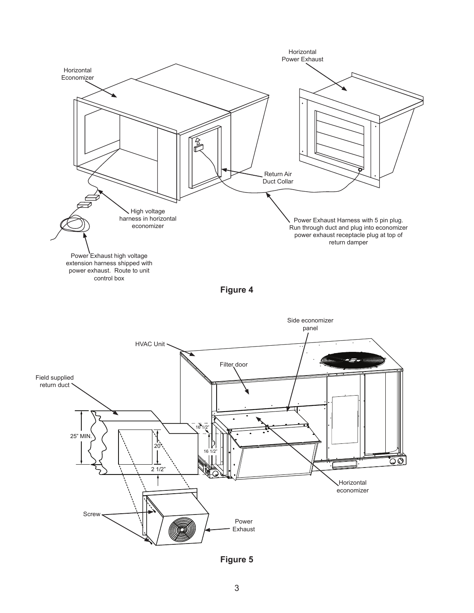

**Figure 4**



**Figure 5**